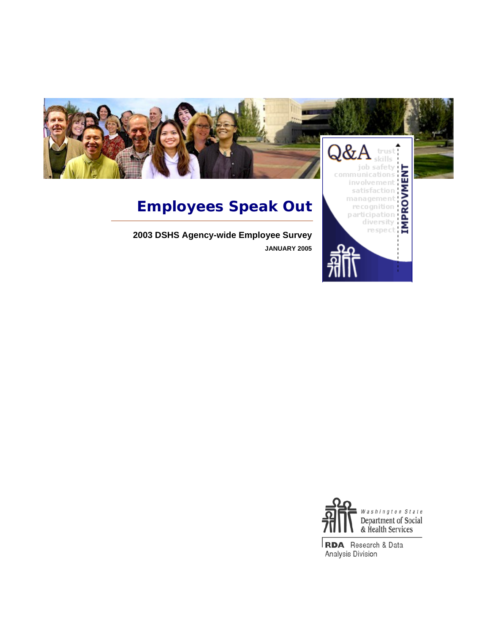

# **Employees Speak Out**

**2003 DSHS Agency-wide Employee Survey JANUARY 2005** 



management

**RDA** Research & Data Analysis Division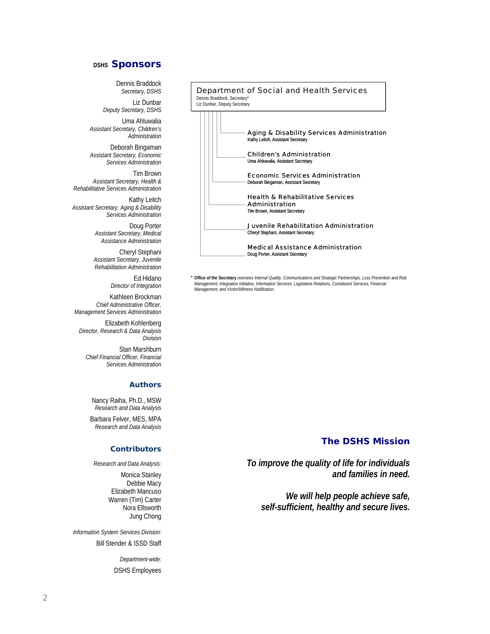## **DSHS Sponsors**

Dennis Braddock *Secretary, DSHS* 

Liz Dunbar *Deputy Secretary, DSHS* 

Uma Ahluwalia *Assistant Secretary, Children's Administration* 

Deborah Bingaman *Assistant Secretary, Economic Services Administration* 

Tim Brown *Assistant Secretary, Health & Rehabilitative Services Administration* 

Kathy Leitch *Assistant Secretary, Aging & Disability Services Administration* 

> Doug Porter *Assistant Secretary, Medical Assistance Administration*

Cheryl Stephani *Assistant Secretary, Juvenile Rehabilitation Administration* 

> Ed Hidano *Director of Integration*

Kathleen Brockman *Chief Administrative Officer, Management Services Administration* 

Elizabeth Kohlenberg *Director, Research & Data Analysis Division* 

Stan Marshburn *Chief Financial Officer, Financial Services Administration* 

#### **Authors**

Nancy Raiha, Ph.D., MSW *Research and Data Analysis* 

Barbara Felver, MES, MPA *Research and Data Analysis* 

## **Contributors**

*Research and Data Analysis:* 

Monica Stanley Debbie Macy Elizabeth Mancuso Warren (Tim) Carter Nora Ellsworth Jung Chong

*Information System Services Division:*  Bill Stender & ISSD Staff

> *Department-wide:* DSHS Employees

|  |  | Dennis Braddock, Secretary*<br>Liz Dunbar, Deputy Secretary | <b>Department of Social and Health Services</b>                                                                                                                                                                                                                                                         |
|--|--|-------------------------------------------------------------|---------------------------------------------------------------------------------------------------------------------------------------------------------------------------------------------------------------------------------------------------------------------------------------------------------|
|  |  |                                                             | <b>Aging &amp; Disability Services Administration</b><br>Kathy Leitch, Assistant Secretary<br><b>Children's Administration</b><br>Uma Ahluwalia, Assistant Secretary<br><b>Economic Services Administration</b><br>Deborah Bingaman, Assistant Secretary<br><b>Health &amp; Rehabilitative Services</b> |
|  |  |                                                             | <b>Administration</b>                                                                                                                                                                                                                                                                                   |
|  |  |                                                             | Tim Brown, Assistant Secretary                                                                                                                                                                                                                                                                          |
|  |  |                                                             | Juvenile Rehabilitation Administration<br>Cheryl Stephani, Assistant Secretary                                                                                                                                                                                                                          |
|  |  |                                                             | <b>Medical Assistance Administration</b><br>Doug Porter, Assistant Secretary                                                                                                                                                                                                                            |

\* Office of the Secretary oversees Internal Quality, Communications and Strategic Partnerships, Loss Prevention and Risk<br>Management, Integration Initiative, Information Services, Legislative Relations, Constituent Services *Management, and Victim/Witness Notification.*

## *The DSHS Mission*

*To improve the quality of life for individuals and families in need.* 

*We will help people achieve safe, self-sufficient, healthy and secure lives.*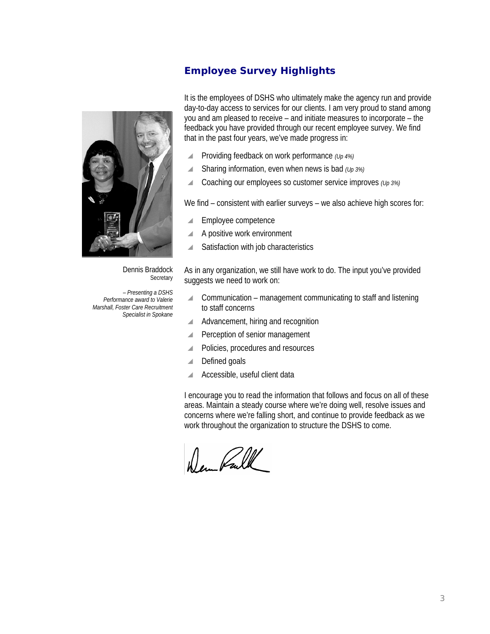# **Employee Survey Highlights**



Dennis Braddock **Secretary** 

*– Presenting a DSHS Performance award to Valerie Marshall, Foster Care Recruitment Specialist in Spokane* It is the employees of DSHS who ultimately make the agency run and provide day-to-day access to services for our clients. I am very proud to stand among you and am pleased to receive – and initiate measures to incorporate – the feedback you have provided through our recent employee survey. We find that in the past four years, we've made progress in:

- \ Providing feedback on work performance *(Up 4%)*
- $\triangle$  Sharing information, even when news is bad  $(\nu_p 3\%)$
- \ Coaching our employees so customer service improves *(Up 3%)*

We find – consistent with earlier surveys – we also achieve high scores for:

- $\blacksquare$  Employee competence
- $\blacktriangle$  A positive work environment
- $\triangle$  Satisfaction with job characteristics

As in any organization, we still have work to do. The input you've provided suggests we need to work on:

- $\triangle$  Communication management communicating to staff and listening to staff concerns
- A Advancement, hiring and recognition
- **Perception of senior management**
- ▲ Policies, procedures and resources
- $\blacksquare$  Defined goals
- Accessible, useful client data

I encourage you to read the information that follows and focus on all of these areas. Maintain a steady course where we're doing well, resolve issues and concerns where we're falling short, and continue to provide feedback as we work throughout the organization to structure the DSHS to come.

Wer Pall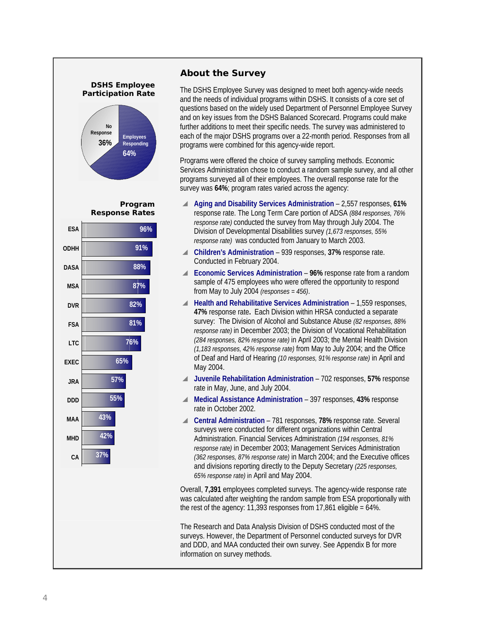

## **About the Survey**

The DSHS Employee Survey was designed to meet both agency-wide needs and the needs of individual programs within DSHS. It consists of a core set of questions based on the widely used Department of Personnel Employee Survey and on key issues from the DSHS Balanced Scorecard. Programs could make further additions to meet their specific needs. The survey was administered to each of the major DSHS programs over a 22-month period. Responses from all programs were combined for this agency-wide report.

Programs were offered the choice of survey sampling methods. Economic Services Administration chose to conduct a random sample survey, and all other programs surveyed all of their employees. The overall response rate for the survey was **64%**; program rates varied across the agency:

- \ **Aging and Disability Services Administration** 2,557 responses, **61%** response rate. The Long Term Care portion of ADSA *(884 responses, 76% response rate)* conducted the survey from May through July 2004. The Division of Developmental Disabilities survey *(1,673 responses, 55% response rate)* was conducted from January to March 2003.
- \ **Children's Administration** 939 responses, **37%** response rate. Conducted in February 2004.
- ▲ **Economic Services Administration** 96% response rate from a random sample of 475 employees who were offered the opportunity to respond from May to July 2004 *(responses = 456)*.
- \ **Health and Rehabilitative Services Administration** 1,559 responses, **47%** response rate**.** Each Division within HRSA conducted a separate survey: The Division of Alcohol and Substance Abuse *(82 responses, 88% response rate)* in December 2003; the Division of Vocational Rehabilitation *(284 responses, 82% response rate)* in April 2003; the Mental Health Division *(1,183 responses, 42% response rate)* from May to July 2004; and the Office of Deaf and Hard of Hearing *(10 responses, 91% response rate)* in April and May 2004.
- \ **Juvenile Rehabilitation Administration** 702 responses, **57%** response rate in May, June, and July 2004.
- \ **Medical Assistance Administration** 397 responses, **43%** response rate in October 2002.
- \ **Central Administration** 781 responses, **78%** response rate. Several surveys were conducted for different organizations within Central Administration. Financial Services Administration *(194 responses, 81% response rate)* in December 2003; Management Services Administration *(362 responses, 87% response rate)* in March 2004; and the Executive offices and divisions reporting directly to the Deputy Secretary *(225 responses, 65% response rate)* in April and May 2004.

Overall, **7,391** employees completed surveys. The agency-wide response rate was calculated after weighting the random sample from ESA proportionally with the rest of the agency: 11,393 responses from  $17,861$  eligible =  $64\%$ .

The Research and Data Analysis Division of DSHS conducted most of the surveys. However, the Department of Personnel conducted surveys for DVR and DDD, and MAA conducted their own survey. See Appendix B for more information on survey methods.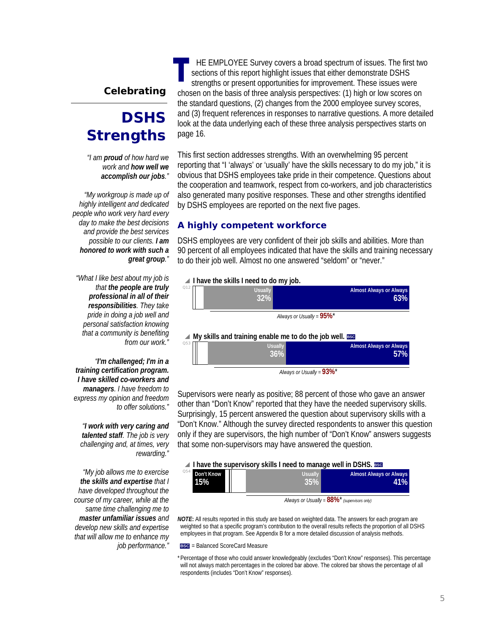## **Celebrating**

# **DSHS Strengths**

*"I am proud of how hard we work and how well we accomplish our jobs."* 

 *"My workgroup is made up of highly intelligent and dedicated people who work very hard every day to make the best decisions and provide the best services possible to our clients. I am honored to work with such a great group."* 

 *"What I like best about my job is that the people are truly professional in all of their responsibilities. They take pride in doing a job well and personal satisfaction knowing that a community is benefiting from our work."* 

 *"I'm challenged; I'm in a training certification program. I have skilled co-workers and managers. I have freedom to express my opinion and freedom to offer solutions."* 

*"I work with very caring and talented staff. The job is very challenging and, at times, very rewarding."* 

*"My job allows me to exercise the skills and expertise that I have developed throughout the course of my career, while at the same time challenging me to master unfamiliar issues and develop new skills and expertise that will allow me to enhance my job performance."* 

HE EMPLOYEE Survey covers a broad spectrum of issues. The first two sections of this report highlight issues that either demonstrate DSHS strengths or present opportunities for improvement. These issues were chosen on the basis of three analysis perspectives: (1) high or low scores on the standard questions, (2) changes from the 2000 employee survey scores, and (3) frequent references in responses to narrative questions. A more detailed look at the data underlying each of these three analysis perspectives starts on page 16.

This first section addresses strengths. With an overwhelming 95 percent reporting that "I 'always' or 'usually' have the skills necessary to do my job," it is obvious that DSHS employees take pride in their competence. Questions about the cooperation and teamwork, respect from co-workers, and job characteristics also generated many positive responses. These and other strengths identified by DSHS employees are reported on the next five pages.

## **A highly competent workforce**

DSHS employees are very confident of their job skills and abilities. More than 90 percent of all employees indicated that have the skills and training necessary to do their job well. Almost no one answered "seldom" or "never."



Supervisors were nearly as positive; 88 percent of those who gave an answer other than "Don't Know" reported that they have the needed supervisory skills. Surprisingly, 15 percent answered the question about supervisory skills with a "Don't Know." Although the survey directed respondents to answer this question only if they are supervisors, the high number of "Don't Know" answers suggests that some non-supervisors may have answered the question.

#### **A** I have the supervisory skills I need to manage well in DSHS. ESC

| Q54<br>Don't Know<br>15% | <br>Usually | <b>Almost Always or Always</b><br><b>1%</b> |
|--------------------------|-------------|---------------------------------------------|
|                          |             | $0.001$ $*$                                 |

*Always or Usually <sup>=</sup>* **88%**\**(supervisors only)*

*NOTE***:** All results reported in this study are based on weighted data. The answers for each program are weighted so that a specific program's contribution to the overall results reflects the proportion of all DSHS employees in that program. See Appendix B for a more detailed discussion of analysis methods.

**BSC** = Balanced ScoreCard Measure

\* Percentage of those who could answer knowledgeably (excludes "Don't Know" responses). This percentage will not always match percentages in the colored bar above. The colored bar shows the percentage of all respondents (includes "Don't Know" responses).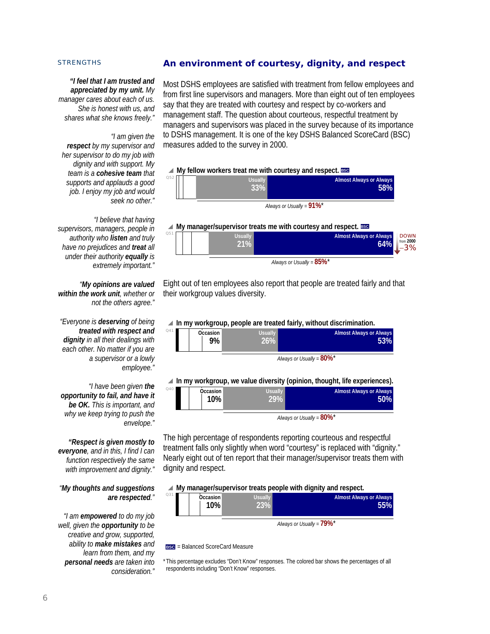## **An environment of courtesy, dignity, and respect**

*"I feel that I am trusted and appreciated by my unit. My manager cares about each of us. She is honest with us, and shares what she knows freely."*

#### *"I am given the*

 $Q52$ 

*respect by my supervisor and her supervisor to do my job with dignity and with support. My team is a cohesive team that supports and applauds a good job. I enjoy my job and would seek no other."* 

*"I believe that having supervisors, managers, people in authority who listen and truly have no prejudices and treat all under their authority equally is extremely important."* 

 *"My opinions are valued within the work unit, whether or not the others agree."* 

 *"Everyone is deserving of being treated with respect and dignity in all their dealings with each other. No matter if you are a supervisor or a lowly employee."* 

*"I have been given the opportunity to fail, and have it be OK. This is important, and why we keep trying to push the envelope."* 

*"Respect is given mostly to everyone, and in this, I find I can function respectively the same with improvement and dignity."* 

#### *"My thoughts and suggestions are respected."*

*"I am empowered to do my job well, given the opportunity to be creative and grow, supported, ability to make mistakes and learn from them, and my personal needs are taken into consideration."*

Most DSHS employees are satisfied with treatment from fellow employees and from first line supervisors and managers. More than eight out of ten employees say that they are treated with courtesy and respect by co-workers and management staff. The question about courteous, respectful treatment by managers and supervisors was placed in the survey because of its importance to DSHS management. It is one of the key DSHS Balanced ScoreCard (BSC) measures added to the survey in 2000.

#### ▲ My fellow workers treat me with courtesy and respect. **BSC**

**Almost Always or Always 58% Usuall 33%** *Always or Usually =* **91%**\*



Eight out of ten employees also report that people are treated fairly and that their workgroup values diversity.

#### \ **In my workgroup, people are treated fairly, without discrimination.**

|                 |                |                       | $\equiv$ 11 may workgroup, people are a cated fairly, without also minimum in |
|-----------------|----------------|-----------------------|-------------------------------------------------------------------------------|
| Q <sub>41</sub> | Occasion<br>9% | <b>Usually</b><br>26% | <b>Almost Always or Always</b><br>53%                                         |
|                 |                |                       | Always or Usually = 80%*                                                      |

## ▲ In my workgroup, we value diversity (opinion, thought, life experiences)

| Q40<br><b>Usually</b><br><b>Almost Always or Always</b><br>Occasion<br>$10\%$ | 50% |
|-------------------------------------------------------------------------------|-----|
|-------------------------------------------------------------------------------|-----|

*Always or Usually =* **80%**\*

The high percentage of respondents reporting courteous and respectful treatment falls only slightly when word "courtesy" is replaced with "dignity." Nearly eight out of ten report that their manager/supervisor treats them with dignity and respect.

#### ▲ My manager/supervisor treats people with dignity and respect.

| Q31 | Occasion<br>10% | Usually | <b>Almost Always or Always</b><br><b>15%</b> |
|-----|-----------------|---------|----------------------------------------------|
|     |                 |         | Always or Usually = $79\%$ *                 |

**BSC** = Balanced ScoreCard Measure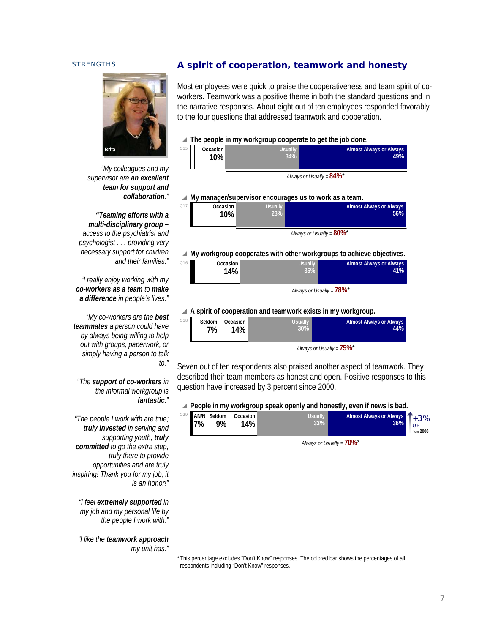

 $\overline{O1}$ 

*"My colleagues and my supervisor are an excellent team for support and collaboration."* 

 *"Teaming efforts with a multi-disciplinary group – access to the psychiatrist and psychologist . . . providing very necessary support for children and their families."* 

 *"I really enjoy working with my co-workers as a team to make a difference in people's lives."* 

 *"My co-workers are the best teammates a person could have by always being willing to help out with groups, paperwork, or simply having a person to talk to."* 

## *"The support of co-workers in the informal workgroup is fantastic."*

*"The people I work with are true; truly invested in serving and supporting youth, truly committed to go the extra step, truly there to provide opportunities and are truly inspiring! Thank you for my job, it is an honor!"* 

*"I feel extremely supported in my job and my personal life by the people I work with."* 

*"I like the teamwork approach my unit has."* 

## **A spirit of cooperation, teamwork and honesty**

Most employees were quick to praise the cooperativeness and team spirit of coworkers. Teamwork was a positive theme in both the standard questions and in the narrative responses. About eight out of ten employees responded favorably to the four questions that addressed teamwork and cooperation.

#### **■ The people in my workgroup cooperate to get the job done.**

|   |          | . . |         | . . |                             |                                |
|---|----------|-----|---------|-----|-----------------------------|--------------------------------|
| 5 | Occasion |     | Usually |     |                             | <b>Almost Always or Always</b> |
|   | 10%      |     | 34%     |     |                             | 49%                            |
|   |          |     |         |     |                             |                                |
|   |          |     |         |     |                             |                                |
|   |          |     |         |     | $\sim$ $\sim$ $\sim$ $\sim$ |                                |

*Always or Usually =* **84%**\*

#### \ **My manager/supervisor encourages us to work as a team.**

| <b>Almost Always or Always</b> | <b>J</b> sually | Occasion <sup>®</sup> | Q17 |
|--------------------------------|-----------------|-----------------------|-----|
| 56%                            | 23%             | 10%                   |     |
|                                |                 |                       |     |

*Always or Usually =* **80%**\*

▲ My workgroup cooperates with other workgroups to achieve objectives.

|     |          |                | $   -$                         |
|-----|----------|----------------|--------------------------------|
|     |          |                |                                |
|     |          |                |                                |
|     | 14%      |                |                                |
|     |          | 36%            | 41%                            |
| Q16 | Occasion | <b>Usually</b> | <b>Almost Always or Always</b> |
|     |          |                |                                |

*Always or Usually =* **78%**\*

#### \ **A spirit of cooperation and teamwork exists in my workgroup.**

| Q18 | Seldom | Occasion | Usually | <b>Almost Always or Always</b>          |
|-----|--------|----------|---------|-----------------------------------------|
|     | 7%     | 14% เ    | 30%     | 44%                                     |
|     |        |          |         | Always or Usually = $75\%$ <sup>*</sup> |

Seven out of ten respondents also praised another aspect of teamwork. They described their team members as honest and open. Positive responses to this question have increased by 3 percent since 2000.

**△ People in my workgroup speak openly and honestly, even if news is bad.** 

| 7% | Q29 AN/N Seldom<br>9% | Occasion<br>$14\%$ . |  |  | <b>Usually</b><br>33% | Almost Always or Always 1+3%<br>36% | UP<br>from 2000 |
|----|-----------------------|----------------------|--|--|-----------------------|-------------------------------------|-----------------|
|    |                       |                      |  |  |                       |                                     |                 |

*Always or Usually =* **70%**\*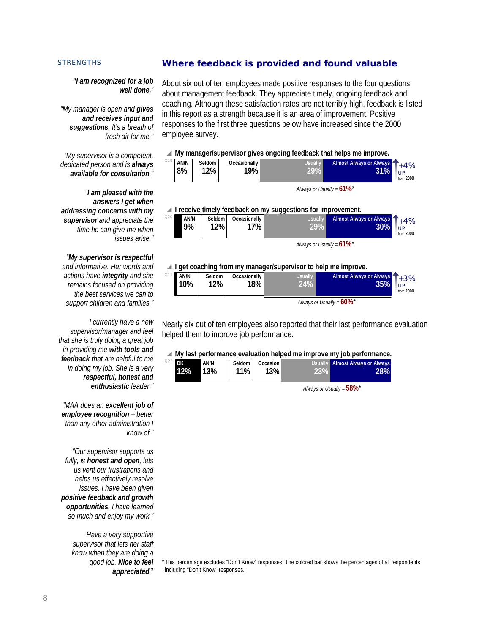## **Where feedback is provided and found valuable**

#### *"I am recognized for a job well done."*

*"My manager is open and gives and receives input and suggestions. It's a breath of fresh air for me."* 

*"My supervisor is a competent, dedicated person and is always available for consultation."* 

*"I am pleased with the answers I get when addressing concerns with my supervisor and appreciate the time he can give me when issues arise."* 

*"My supervisor is respectful and informative. Her words and actions have integrity and she remains focused on providing the best services we can to support children and families."* 

*I currently have a new supervisor/manager and feel that she is truly doing a great job in providing me with tools and feedback that are helpful to me in doing my job. She is a very respectful, honest and enthusiastic leader."* 

*"MAA does an excellent job of employee recognition – better than any other administration I know of."* 

*"Our supervisor supports us fully, is honest and open, lets us vent our frustrations and helps us effectively resolve issues. I have been given positive feedback and growth opportunities. I have learned so much and enjoy my work."* 

> *Have a very supportive supervisor that lets her staff know when they are doing a good job. Nice to feel appreciated.*"

About six out of ten employees made positive responses to the four questions about management feedback. They appreciate timely, ongoing feedback and coaching. Although these satisfaction rates are not terribly high, feedback is listed in this report as a strength because it is an area of improvement. Positive responses to the first three questions below have increased since the 2000 employee survey.

#### ▲ My manager/supervisor gives ongoing feedback that helps me improve.

| Q19 | AN/N<br>8% | Seldom<br>12% | Occasionally<br>19% | Usually L | Almost Always or Always 1+4%<br>31% | 1 IP<br>from 2000 |
|-----|------------|---------------|---------------------|-----------|-------------------------------------|-------------------|
|     |            |               |                     |           |                                     |                   |

*Always or Usually =* **61%**\*

#### \ **I receive timely feedback on my suggestions for improvement.**

| Q20 | AN/N<br>9% | Seldom<br>12% | Occasionally<br>7% ⊾ | Usually I | Almost Always or Always 1+4%<br>30% | UP<br>from 2000 |
|-----|------------|---------------|----------------------|-----------|-------------------------------------|-----------------|
|-----|------------|---------------|----------------------|-----------|-------------------------------------|-----------------|

*Always or Usually =* **61%**\*

# **1 get coaching from my manager/supervisor to help me improve.**<br><sup>Q11</sup> AN/N Seldom Cocasionally Herally Almost Always

| Q11 | AN/N | Seldom | Occasionally | <b>Usually</b> | Almost Always or Always 1+3% | UP        |
|-----|------|--------|--------------|----------------|------------------------------|-----------|
|     | 10%  | 12%    | 18%          | 24%            | 35%                          | from 2000 |
|     |      |        |              |                | .                            |           |

*Always or Usually =* **60%**\*

Nearly six out of ten employees also reported that their last performance evaluation helped them to improve job performance.

#### ▲ My last performance evaluation helped me improve my job performance. Q22 **DK**

| <sup>2</sup> DK<br>$12\%$ | AN/N<br><b>13%</b> | Seldom I<br>$11\%$ | Occasion  <br>13% | 23% | Usually Almost Always or Always<br>28% |
|---------------------------|--------------------|--------------------|-------------------|-----|----------------------------------------|
|                           |                    |                    |                   |     |                                        |

*Always or Usually =* **58%**\*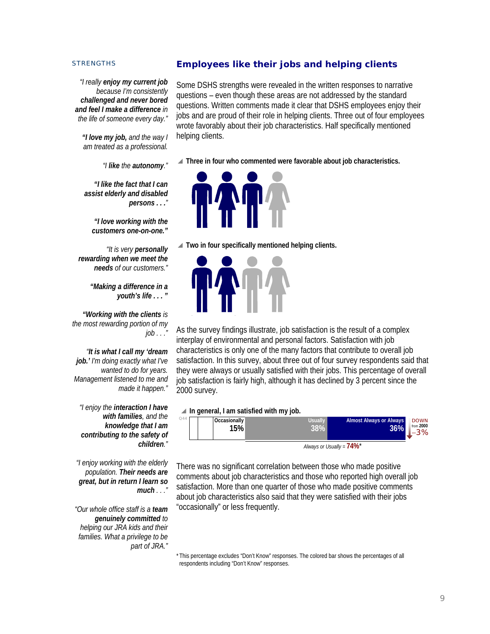## **Employees like their jobs and helping clients**

*"I really enjoy my current job because I'm consistently challenged and never bored and feel I make a difference in the life of someone every day."* 

 *"I love my job, and the way I am treated as a professional.* 

*"I like the autonomy."* 

 *"I like the fact that I can assist elderly and disabled persons . . ."* 

 *"I love working with the customers one-on-one."*

 *"It is very personally rewarding when we meet the needs of our customers."* 

> *"Making a difference in a youth's life . . . "*

 *"Working with the clients is the most rewarding portion of my job . . ."* 

 *"It is what I call my 'dream job.' I'm doing exactly what I've wanted to do for years. Management listened to me and made it happen."* 

*"I enjoy the interaction I have with families, and the knowledge that I am contributing to the safety of children."* 

*"I enjoy working with the elderly population. Their needs are great, but in return I learn so much . . ."* 

 *"Our whole office staff is a team genuinely committed to helping our JRA kids and their families. What a privilege to be part of JRA."* 

Some DSHS strengths were revealed in the written responses to narrative questions – even though these areas are not addressed by the standard questions. Written comments made it clear that DSHS employees enjoy their jobs and are proud of their role in helping clients. Three out of four employees wrote favorably about their job characteristics. Half specifically mentioned helping clients.

▲ Three in four who commented were favorable about job characteristics.



\ **Two in four specifically mentioned helping clients.**



As the survey findings illustrate, job satisfaction is the result of a complex interplay of environmental and personal factors. Satisfaction with job characteristics is only one of the many factors that contribute to overall job satisfaction. In this survey, about three out of four survey respondents said that they were always or usually satisfied with their jobs. This percentage of overall job satisfaction is fairly high, although it has declined by 3 percent since the 2000 survey.

## **In general, I am satisfied with my job.**



*Always or Usually =* **74%**\*

There was no significant correlation between those who made positive comments about job characteristics and those who reported high overall job satisfaction. More than one quarter of those who made positive comments about job characteristics also said that they were satisfied with their jobs "occasionally" or less frequently.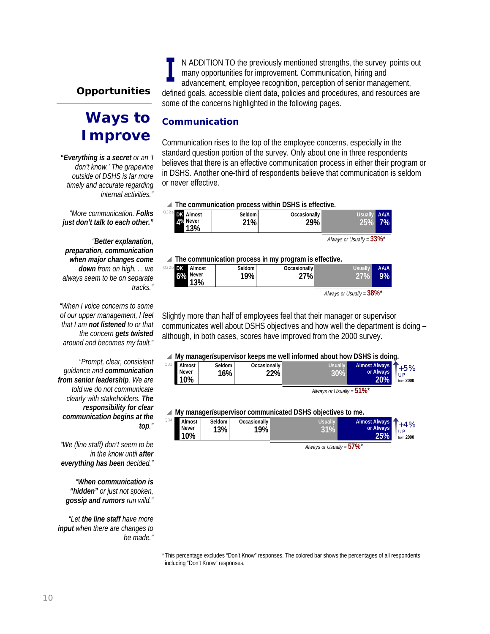# **Opportunities**

# **Ways to Improve**

*"Everything is a secret or an 'I don't know.' The grapevine outside of DSHS is far more timely and accurate regarding internal activities."* 

 *"More communication. Folks just don't talk to each other."* 

*"Better explanation, preparation, communication when major changes come down from on high. . . we always seem to be on separate tracks."* 

*"When I voice concerns to some of our upper management, I feel that I am not listened to or that the concern gets twisted around and becomes my fault."* 

*"Prompt, clear, consistent guidance and communication from senior leadership. We are told we do not communicate clearly with stakeholders. The responsibility for clear communication begins at the top."* 

*"We (line staff) don't seem to be in the know until after everything has been decided."* 

*"When communication is "hidden" or just not spoken, gossip and rumors run wild."* 

*"Let the line staff have more input when there are changes to be made."* 

N ADDITION TO the previously mentioned strengths, the survey points out many opportunities for improvement. Communication, hiring and advancement, employee recognition, perception of senior management, defined goals, accessible client data, policies and procedures, and resources are some of the concerns highlighted in the following pages.

## **Communication**

Communication rises to the top of the employee concerns, especially in the standard question portion of the survey. Only about one in three respondents believes that there is an effective communication process in either their program or in DSHS. Another one-third of respondents believe that communication is seldom or never effective.

## \ **The communication process within DSHS is effective.**





#### \ **The communication process in my program is effective.**

| $032b$ DK<br>Almost<br>$6\%$ Never<br>13% | Seldom I<br>19% | Occasionally<br>$27\%$ | <b>Usually</b>                          | <b>AA/A</b><br>9% |
|-------------------------------------------|-----------------|------------------------|-----------------------------------------|-------------------|
|                                           |                 |                        | Always or Usually = $38\%$ <sup>*</sup> |                   |

Slightly more than half of employees feel that their manager or supervisor

communicates well about DSHS objectives and how well the department is doing – although, in both cases, scores have improved from the 2000 survey.

## ▲ My manager/supervisor keeps me well informed about how DSHS is doing.

| Q33 | <b>Almost</b><br>Never<br>10% | Seldom<br>16% | Occasionally<br>22% | <b>Usually</b>               | Almost Always 1+5%<br>or Always<br>20% | UP<br>from 2000 |
|-----|-------------------------------|---------------|---------------------|------------------------------|----------------------------------------|-----------------|
|     |                               |               |                     | Always or Usually = $51\%$ * |                                        |                 |

▲ My manager/supervisor communicated DSHS objectives to me.

|     |                               | . .           |                     |         |                                   |                          |
|-----|-------------------------------|---------------|---------------------|---------|-----------------------------------|--------------------------|
| Q34 | Almost<br><b>Never</b><br>10% | Seldom<br>13% | Occasionally<br>19% | Usuallv | Almost Always<br>or Always<br>25% | $+4%$<br>UP<br>from 2000 |
|     |                               |               |                     |         |                                   |                          |

*Always or Usually =* **57%**\*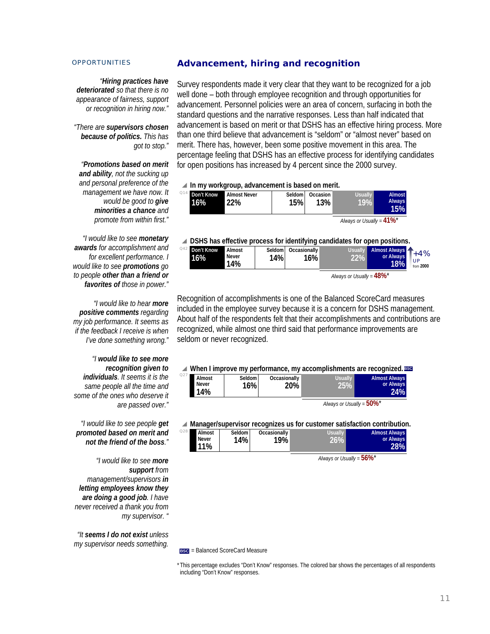*"Hiring practices have deteriorated so that there is no appearance of fairness, support or recognition in hiring now."* 

*"There are supervisors chosen because of politics. This has got to stop."* 

*"Promotions based on merit and ability, not the sucking up and personal preference of the management we have now. It would be good to give minorities a chance and promote from within first."* 

*"I would like to see monetary awards for accomplishment and for excellent performance. I would like to see promotions go to people other than a friend or favorites of those in power."* 

*"I would like to hear more positive comments regarding my job performance. It seems as if the feedback I receive is when I've done something wrong."* 

*"I would like to see more recognition given to individuals. It seems it is the same people all the time and some of the ones who deserve it are passed over."* 

*"I would like to see people get promoted based on merit and not the friend of the boss."* 

*"I would like to see more support from management/supervisors in letting employees know they are doing a good job. I have never received a thank you from my supervisor. "* 

*"It seems I do not exist unless my supervisor needs something.* 

## **Advancement, hiring and recognition**

Survey respondents made it very clear that they want to be recognized for a job well done – both through employee recognition and through opportunities for advancement. Personnel policies were an area of concern, surfacing in both the standard questions and the narrative responses. Less than half indicated that advancement is based on merit or that DSHS has an effective hiring process. More than one third believe that advancement is "seldom" or "almost never" based on merit. There has, however, been some positive movement in this area. The percentage feeling that DSHS has an effective process for identifying candidates for open positions has increased by 4 percent since the 2000 survey.

\ **In my workgroup, advancement is based on merit.**

| <sup>@14</sup> Don't Know<br>16% | <b>Almost Never</b><br>22% | Seldom  <br>15% | Occasion<br>$13\%$ . | <b>Usually</b><br>19%                   | <b>Almost</b><br><b>Always</b><br>15% |
|----------------------------------|----------------------------|-----------------|----------------------|-----------------------------------------|---------------------------------------|
|                                  |                            |                 |                      | Always or Usually = $41\%$ <sup>*</sup> |                                       |



\ **DSHS has effective process for identifying candidates for open positions.**  $Od2$ 

| Don't Know<br>16%            | Almost<br>Never<br>14% | Seldom<br>14% | Occasionally<br>$16\%$ | <b>Usually</b> | <b>Almost Always</b><br>or Always<br>18% | $+4%$<br>.UP<br>from 2000 |  |
|------------------------------|------------------------|---------------|------------------------|----------------|------------------------------------------|---------------------------|--|
| Always or Usually = $48\%$ * |                        |               |                        |                |                                          |                           |  |

Recognition of accomplishments is one of the Balanced ScoreCard measures included in the employee survey because it is a concern for DSHS management. About half of the respondents felt that their accomplishments and contributions are recognized, while almost one third said that performance improvements are seldom or never recognized.

#### ▲ When I improve my performance, my accomplishments are recognized. **BSC**

|     |                               |                 |                     | $\equiv$ which immersionly performance, my accompandiments are recognized. |                                          |  |
|-----|-------------------------------|-----------------|---------------------|----------------------------------------------------------------------------|------------------------------------------|--|
| Q27 | Almost<br><b>Never</b><br>14% | Seldom  <br>16% | Occasionally<br>20% | Usually<br>25%                                                             | <b>Almost Always</b><br>or Always<br>24% |  |

*Always or Usually =* **50%**\*

#### ▲ Manager/supervisor recognizes us for customer satisfaction contribution.

| Q28 | Almost | Seldom I | Occasionally | Usually | <b>Almost Always</b> |
|-----|--------|----------|--------------|---------|----------------------|
|     | Never  | 14%      | 19%          | 26%1    | or Always            |
|     | $11\%$ |          |              |         | 28%                  |

*Always or Usually =* **56%**\*

**BSC** = Balanced ScoreCard Measure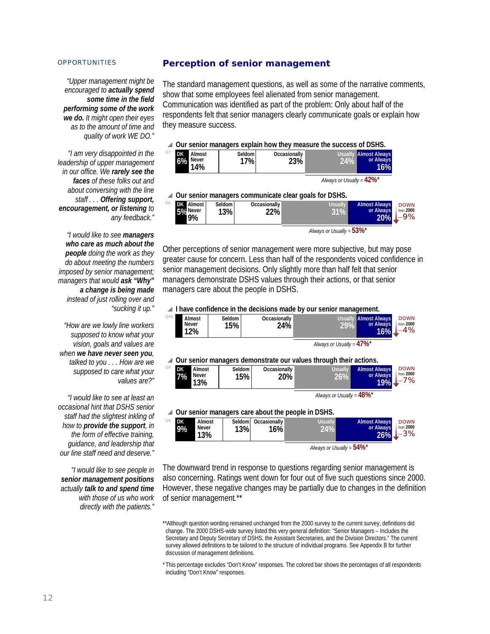*"Upper management might be encouraged to actually spend some time in the field performing some of the work we do. It might open their eyes as to the amount of time and quality of work WE DO."*

*"I am very disappointed in the leadership of upper management in our office. We rarely see the faces of these folks out and about conversing with the line staff . . . Offering support, encouragement, or listening to any feedback."* 

*"I would like to see managers who care as much about the people doing the work as they do about meeting the numbers imposed by senior management; managers that would ask "Why" a change is being made instead of just rolling over and "sucking it up."* 

*"How are we lowly line workers supposed to know what your vision, goals and values are when we have never seen you, talked to you . . . How are we supposed to care what your values are?"* 

*"I would like to see at least an occasional hint that DSHS senior staff had the slightest inkling of how to provide the support, in the form of effective training, guidance, and leadership that our line staff need and deserve."* 

*"I would like to see people in senior management positions actually talk to and spend time with those of us who work directly with the patients."* 

## **Perception of senior management**

The standard management questions, as well as some of the narrative comments, show that some employees feel alienated from senior management. Communication was identified as part of the problem: Only about half of the respondents felt that senior managers clearly communicate goals or explain how they measure success.

#### \ **Our senior managers explain how they measure the success of DSHS.**

| $Q$ 7 | DK<br>6%                                                | Almost<br>Never<br>14% | Seldom I<br>17% | Occasionally<br>23% | <b>Usually</b><br>$24\%$ | <b>Almost Always</b><br>or Always<br>16% |  |  |  |
|-------|---------------------------------------------------------|------------------------|-----------------|---------------------|--------------------------|------------------------------------------|--|--|--|
|       | Always or Usually = $42\%$ <sup>*</sup>                 |                        |                 |                     |                          |                                          |  |  |  |
|       | △ Our senior managers communicate clear goals for DSHS. |                        |                 |                     |                          |                                          |  |  |  |
|       |                                                         |                        | .               |                     |                          | ALC: ALC: YES                            |  |  |  |

| <b>DK</b> Almost<br>5% Never            | Seldom I<br>13% | Occasionally<br>22% | Usually I<br>31% | <b>Almost Always</b><br>or Always<br>20% | <b>DOWN</b><br>from 2000<br>-9% |  |
|-----------------------------------------|-----------------|---------------------|------------------|------------------------------------------|---------------------------------|--|
| Always or Usually = $53\%$ <sup>*</sup> |                 |                     |                  |                                          |                                 |  |

Other perceptions of senior management were more subjective, but may pose greater cause for concern. Less than half of the respondents voiced confidence in senior management decisions. Only slightly more than half felt that senior managers demonstrate DSHS values through their actions, or that senior managers care about the people in DSHS.

**■ I have confidence in the decisions made by our senior management.** 

| Q48            | Almost<br><b>Never</b><br>12%             | Seldom<br>15% | Occasionally                           | 24%                                                               | <b>Almost Always</b><br><b>Usually</b><br>29% | <b>DOWN</b><br>from 2000<br>or Always<br>$-4%$<br>16% |
|----------------|-------------------------------------------|---------------|----------------------------------------|-------------------------------------------------------------------|-----------------------------------------------|-------------------------------------------------------|
|                |                                           |               |                                        |                                                                   | Always or Usually = $47\%$ <sup>*</sup>       |                                                       |
|                |                                           |               |                                        | Our senior managers demonstrate our values through their actions. |                                               |                                                       |
| Q8             | DK<br>Almost<br>Never<br>7%<br>13%        |               | Seldom<br>Occasionally<br>15%          | <b>20%</b>                                                        | <b>Almost Always</b><br><b>Usually</b><br>26% | <b>DOWN</b><br>from 2000<br>or Always<br>$-7%$<br>19% |
|                |                                           |               |                                        |                                                                   | Always or Usually = $48\%$ <sup>*</sup>       |                                                       |
|                |                                           |               |                                        | Our senior managers care about the people in DSHS.                |                                               |                                                       |
| O <sub>9</sub> | <b>DK</b><br>Almost<br>9%<br>Never<br>13% |               | Occasionally<br>Seldom  <br>13%<br>16% | <b>Usually</b><br>24%                                             | <b>Almost Always</b>                          | <b>DOWN</b><br>or Always<br>from 2000<br>$-3%$<br>26% |
|                |                                           |               |                                        |                                                                   | Always or Usually = $54\%$ <sup>*</sup>       |                                                       |

The downward trend in response to questions regarding senior management is also concerning. Ratings went down for four out of five such questions since 2000. However, these negative changes may be partially due to changes in the definition of senior management.\*\*

\*\*Although question wording remained unchanged from the 2000 survey to the current survey, definitions did change. The 2000 DSHS-wide survey listed this very general definition: "Senior Managers – Includes the Secretary and Deputy Secretary of DSHS, the Assistant Secretaries, and the Division Directors." The current survey allowed definitions to be tailored to the structure of individual programs. See Appendix B for further discussion of management definitions.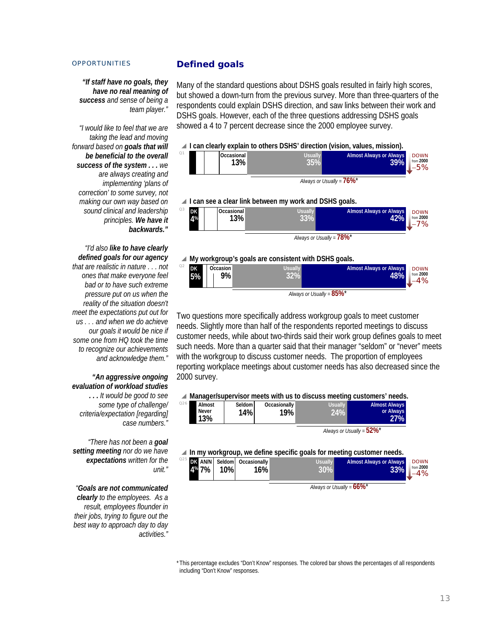*"If staff have no goals, they have no real meaning of success and sense of being a team player."*

*"I would like to feel that we are taking the lead and moving forward based on goals that will be beneficial to the overall success of the system . . . we are always creating and implementing 'plans of correction' to some survey, not making our own way based on sound clinical and leadership principles. We have it backwards."* 

## *"I'd also like to have clearly defined goals for our agency that are realistic in nature . . . not ones that make everyone feel bad or to have such extreme pressure put on us when the reality of the situation doesn't meet the expectations put out for us . . . and when we do achieve our goals it would be nice if some one from HQ took the time to recognize our achievements and acknowledge them."*

*"An aggressive ongoing evaluation of workload studies . . . It would be good to see some type of challenge/ criteria/expectation [regarding] case numbers."* 

 $Q26$ 

*"There has not been a goal setting meeting nor do we have expectations written for the unit."* 

*"Goals are not communicated clearly to the employees. As a result, employees flounder in their jobs, trying to figure out the best way to approach day to day activities."* 

## **Defined goals**

Many of the standard questions about DSHS goals resulted in fairly high scores, but showed a down-turn from the previous survey. More than three-quarters of the respondents could explain DSHS direction, and saw links between their work and DSHS goals. However, each of the three questions addressing DSHS goals showed a 4 to 7 percent decrease since the 2000 employee survey.

# \ **I can clearly explain to others DSHS' direction (vision, values, mission).**



#### **48% 32% 9% 5%**



*Always or Usually =* **85%**\*

Two questions more specifically address workgroup goals to meet customer needs. Slightly more than half of the respondents reported meetings to discuss customer needs, while about two-thirds said their work group defines goals to meet such needs. More than a quarter said that their manager "seldom" or "never" meets with the workgroup to discuss customer needs. The proportion of employees reporting workplace meetings about customer needs has also decreased since the 2000 survey.

#### ▲ Manager/supervisor meets with us to discuss meeting customers' needs.

| Almost              | Seldom I | <b>Occasionally</b> | Usually | <b>Almost Always</b> |
|---------------------|----------|---------------------|---------|----------------------|
| <b>Never</b><br>13% | 14%      | 19%                 | $24\%$  | or Always<br>27%     |
|                     |          |                     |         |                      |

*Always or Usually =* **52%**\*

**■ In my workgroup, we define specific goals for meeting customer needs.** 

|       | __  |                                           |                | --                                    |                                |
|-------|-----|-------------------------------------------|----------------|---------------------------------------|--------------------------------|
| 4% 7% | 10% | Q25 DK AN/N Seldom Occasionally<br>$16\%$ | <b>Usually</b> | <b>Almost Always or Always</b><br>33% | <b>DOWN</b><br>from 2000<br>4% |
|       |     |                                           |                | $\overline{\phantom{a}}$              |                                |

*Always or Usually =* **66%**\*

\* This percentage excludes "Don't Know" responses. The colored bar shows the percentages of all respondents including "Don't Know" responses.

−4%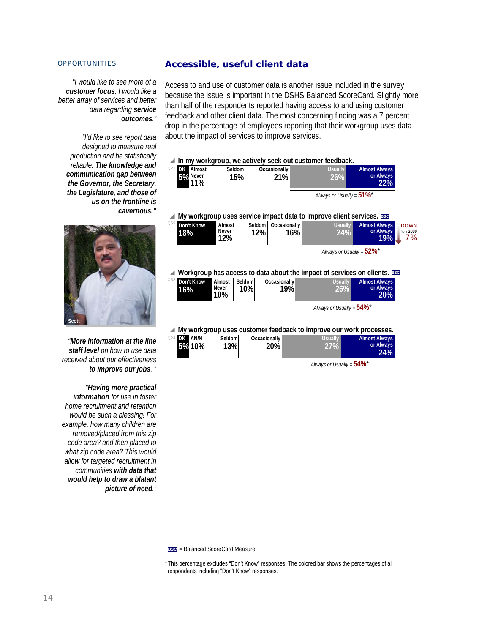*"I would like to see more of a customer focus. I would like a better array of services and better data regarding service outcomes."* 

*"I'd like to see report data designed to measure real production and be statistically reliable. The knowledge and communication gap between the Governor, the Secretary, the Legislature, and those of us on the frontline is cavernous."* 



*"More information at the line staff level on how to use data received about our effectiveness to improve our jobs. "* 

*"Having more practical information for use in foster home recruitment and retention would be such a blessing! For example, how many children are removed/placed from this zip code area? and then placed to what zip code area? This would allow for targeted recruitment in communities with data that would help to draw a blatant picture of need."* 

## **Accessible, useful client data**

Access to and use of customer data is another issue included in the survey because the issue is important in the DSHS Balanced ScoreCard. Slightly more than half of the respondents reported having access to and using customer feedback and other client data. The most concerning finding was a 7 percent drop in the percentage of employees reporting that their workgroup uses data about the impact of services to improve services.

\ **In my workgroup, we actively seek out customer feedback.**

| $^{023}$ DK<br>Almost | Seldoml    | Occasionally | <b>Usually</b> | <b>Almost Always</b> |
|-----------------------|------------|--------------|----------------|----------------------|
| 5% Never              | <b>15%</b> | 21%          | И.             | or Always            |
| 11%                   |            |              |                | 22%                  |

*Always or Usually =* **51%**\*

**A** My workgroup uses service impact data to improve client services. **BSC** 

| . .<br><sup>Q59</sup> Don't Know<br>18% | Almost<br>Never<br>12% | Seldom<br>12% | I Occasionally<br>16% | <b>Usually</b> | <b>Almost Always</b><br>or Always<br>19% | <b>DOWN</b><br>from 2000<br>7% |
|-----------------------------------------|------------------------|---------------|-----------------------|----------------|------------------------------------------|--------------------------------|
|                                         |                        |               |                       |                | .                                        |                                |

*Always or Usually =* **52%**\*

**Workgroup has access to data about the impact of services on clients. <b>BSC** 

| <sup>Q58</sup> Don't Know<br>16% | Almost<br>Never<br>10% | Seldoml<br>10% | Occasionally<br>19% | <b>Usually</b>               | <b>Almost Always</b><br>or Always<br>20% |
|----------------------------------|------------------------|----------------|---------------------|------------------------------|------------------------------------------|
|                                  |                        |                |                     | Always or Usually = $54\%$ * |                                          |

#### \ **My workgroup uses customer feedback to improve our work processes.**

| Q24 DK AN/N<br>5% 10% | Seldom<br>13% | Occasionally<br>20% | <b>Usually</b><br>27% | <b>Almost Always</b><br>or Always<br>24% |
|-----------------------|---------------|---------------------|-----------------------|------------------------------------------|
|-----------------------|---------------|---------------------|-----------------------|------------------------------------------|

*Always or Usually =* **54%**\*

**BSC** = Balanced ScoreCard Measure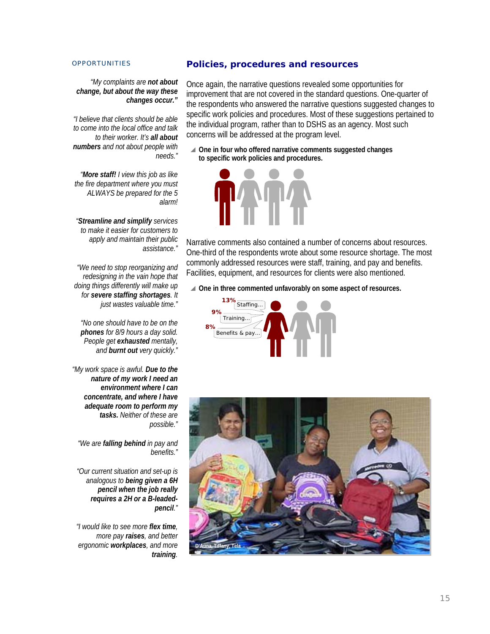## **Policies, procedures and resources**

*"My complaints are not about change, but about the way these changes occur."* 

*"I believe that clients should be able to come into the local office and talk to their worker. It's all about numbers and not about people with needs."*

*"More staff! I view this job as like the fire department where you must ALWAYS be prepared for the 5 alarm!* 

*"Streamline and simplify services to make it easier for customers to apply and maintain their public assistance."* 

*"We need to stop reorganizing and redesigning in the vain hope that doing things differently will make up for severe staffing shortages. It just wastes valuable time."* 

*"No one should have to be on the phones for 8/9 hours a day solid. People get exhausted mentally, and burnt out very quickly."* 

*"My work space is awful. Due to the nature of my work I need an environment where I can concentrate, and where I have adequate room to perform my tasks. Neither of these are possible."* 

*"We are falling behind in pay and benefits."* 

*"Our current situation and set-up is analogous to being given a 6H pencil when the job really requires a 2H or a B-leadedpencil."* 

*"I would like to see more flex time, more pay raises, and better ergonomic workplaces, and more training.*  Once again, the narrative questions revealed some opportunities for improvement that are not covered in the standard questions. One-quarter of the respondents who answered the narrative questions suggested changes to specific work policies and procedures. Most of these suggestions pertained to the individual program, rather than to DSHS as an agency. Most such concerns will be addressed at the program level.

**△ One in four who offered narrative comments suggested changes to specific work policies and procedures.**



Narrative comments also contained a number of concerns about resources. One-third of the respondents wrote about some resource shortage. The most commonly addressed resources were staff, training, and pay and benefits. Facilities, equipment, and resources for clients were also mentioned.

**△ One in three commented unfavorably on some aspect of resources.** 



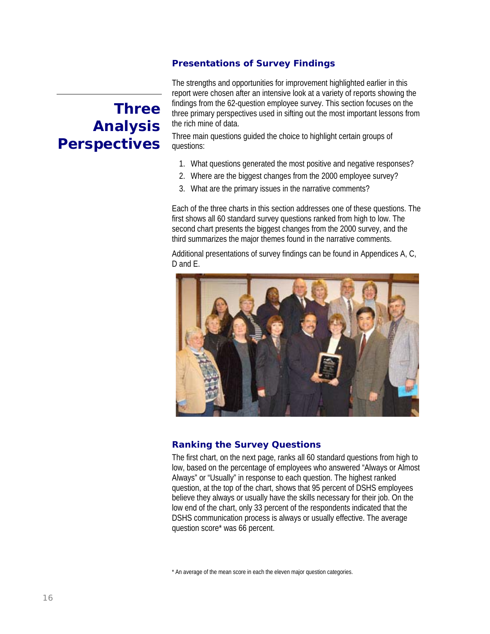## **Presentations of Survey Findings**

# **Three Analysis Perspectives**

The strengths and opportunities for improvement highlighted earlier in this report were chosen after an intensive look at a variety of reports showing the findings from the 62-question employee survey. This section focuses on the three primary perspectives used in sifting out the most important lessons from the rich mine of data.

Three main questions guided the choice to highlight certain groups of questions:

- 1. What questions generated the most positive and negative responses?
- 2. Where are the biggest changes from the 2000 employee survey?
- 3. What are the primary issues in the narrative comments?

Each of the three charts in this section addresses one of these questions. The first shows all 60 standard survey questions ranked from high to low. The second chart presents the biggest changes from the 2000 survey, and the third summarizes the major themes found in the narrative comments.

Additional presentations of survey findings can be found in Appendices A, C, D and E.



## **Ranking the Survey Questions**

The first chart, on the next page, ranks all 60 standard questions from high to low, based on the percentage of employees who answered "Always or Almost Always" or "Usually" in response to each question. The highest ranked question, at the top of the chart, shows that 95 percent of DSHS employees believe they always or usually have the skills necessary for their job. On the low end of the chart, only 33 percent of the respondents indicated that the DSHS communication process is always or usually effective. The average question score\* was 66 percent.

\* An average of the mean score in each the eleven major question categories.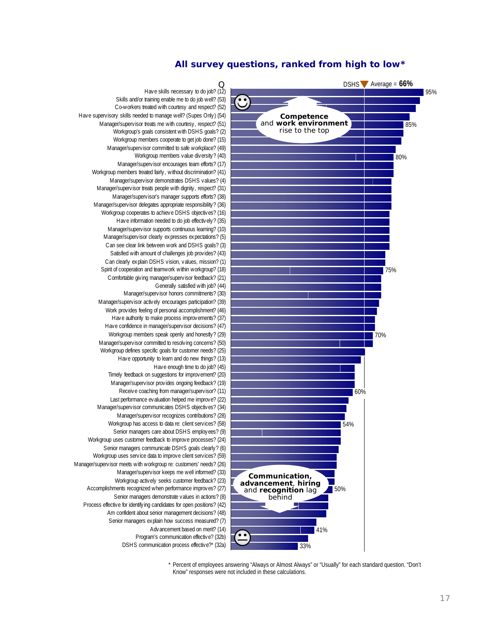## **All survey questions, ranked from high to low\***



 \* Percent of employees answering "Always or Almost Always" or "Usually" for each standard question. "Don't Know" responses were not included in these calculations.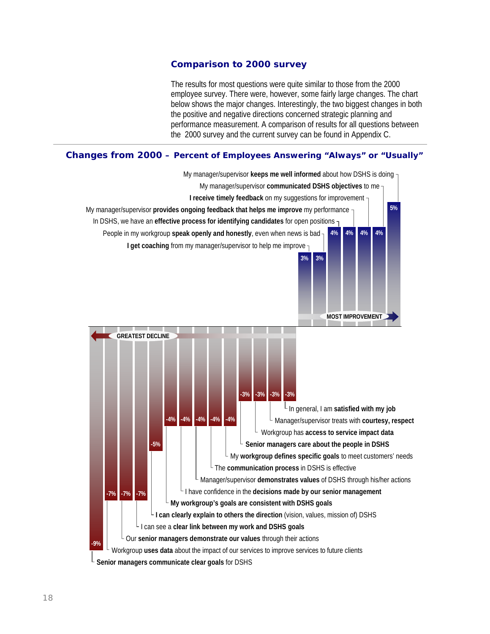## **Comparison to 2000 survey**

The results for most questions were quite similar to those from the 2000 employee survey. There were, however, some fairly large changes. The chart below shows the major changes. Interestingly, the two biggest changes in both the positive and negative directions concerned strategic planning and performance measurement. A comparison of results for all questions between the 2000 survey and the current survey can be found in Appendix C.

## **Changes from 2000 – Percent of Employees Answering "Always" or "Usually"**

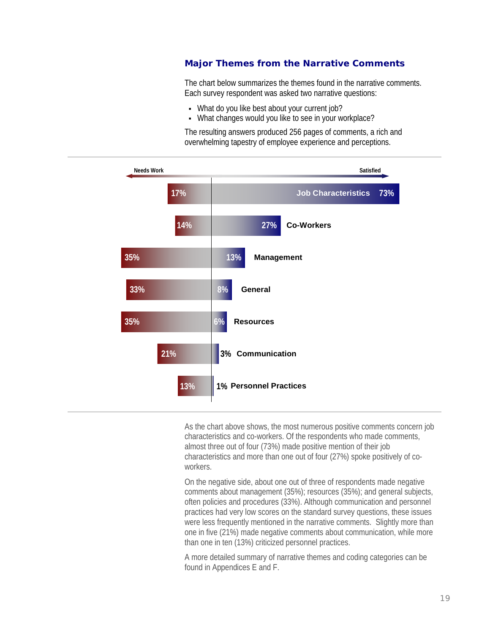## **Major Themes from the Narrative Comments**

The chart below summarizes the themes found in the narrative comments. Each survey respondent was asked two narrative questions:

- What do you like best about your current job?
- What changes would you like to see in your workplace?

The resulting answers produced 256 pages of comments, a rich and overwhelming tapestry of employee experience and perceptions.



As the chart above shows, the most numerous positive comments concern job characteristics and co-workers. Of the respondents who made comments, almost three out of four (73%) made positive mention of their job characteristics and more than one out of four (27%) spoke positively of coworkers.

On the negative side, about one out of three of respondents made negative comments about management (35%); resources (35%); and general subjects, often policies and procedures (33%). Although communication and personnel practices had very low scores on the standard survey questions, these issues were less frequently mentioned in the narrative comments. Slightly more than one in five (21%) made negative comments about communication, while more than one in ten (13%) criticized personnel practices.

A more detailed summary of narrative themes and coding categories can be found in Appendices E and F.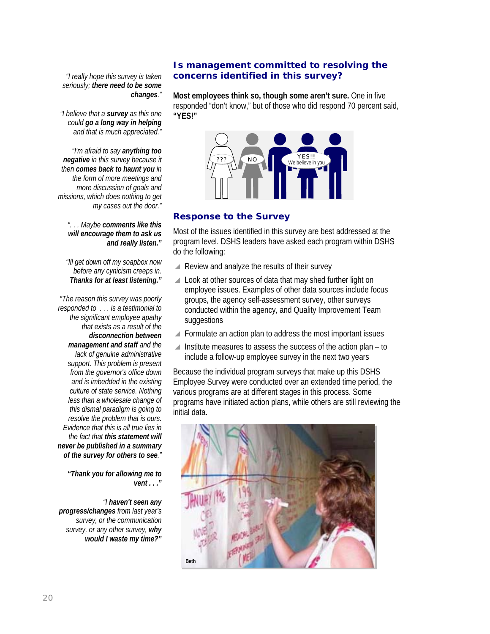## *"I really hope this survey is taken seriously; there need to be some changes."*

*"I believe that a survey as this one could go a long way in helping and that is much appreciated."* 

*"I'm afraid to say anything too negative in this survey because it then comes back to haunt you in the form of more meetings and more discussion of goals and missions, which does nothing to get my cases out the door."* 

*". . . Maybe comments like this will encourage them to ask us and really listen."* 

 *"Ill get down off my soapbox now before any cynicism creeps in. Thanks for at least listening."* 

*"The reason this survey was poorly responded to . . . is a testimonial to the significant employee apathy that exists as a result of the disconnection between management and staff and the lack of genuine administrative support. This problem is present from the governor's office down and is imbedded in the existing culture of state service. Nothing less than a wholesale change of this dismal paradigm is going to resolve the problem that is ours. Evidence that this is all true lies in the fact that this statement will never be published in a summary of the survey for others to see."* 

> *"Thank you for allowing me to vent . . ."*

*"I haven't seen any progress/changes from last year's survey, or the communication survey, or any other survey, why would I waste my time?"* 

## **Is management committed to resolving the concerns identified in this survey?**

**Most employees think so, though some aren't sure.** One in five responded "don't know," but of those who did respond 70 percent said, **"YES!"** 



## **Response to the Survey**

Most of the issues identified in this survey are best addressed at the program level. DSHS leaders have asked each program within DSHS do the following:

- $\blacktriangle$  Review and analyze the results of their survey
- $\triangle$  Look at other sources of data that may shed further light on employee issues. Examples of other data sources include focus groups, the agency self-assessment survey, other surveys conducted within the agency, and Quality Improvement Team suggestions
- $\blacktriangle$  Formulate an action plan to address the most important issues
- $\blacktriangle$  Institute measures to assess the success of the action plan to include a follow-up employee survey in the next two years

Because the individual program surveys that make up this DSHS Employee Survey were conducted over an extended time period, the various programs are at different stages in this process. Some programs have initiated action plans, while others are still reviewing the initial data.

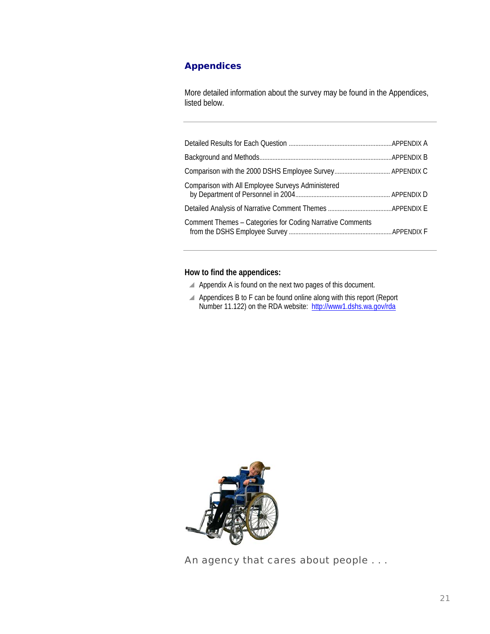## **Appendices**

More detailed information about the survey may be found in the Appendices, listed below.

| Comparison with All Employee Surveys Administered         |  |
|-----------------------------------------------------------|--|
|                                                           |  |
| Comment Themes - Categories for Coding Narrative Comments |  |

## **How to find the appendices:**

- $\blacktriangle$  Appendix A is found on the next two pages of this document.
- $\blacktriangle$  Appendices B to F can be found online along with this report (Report Number 11.122) on the RDA website: http://www1.dshs.wa.gov/rda



An agency that cares about people . . .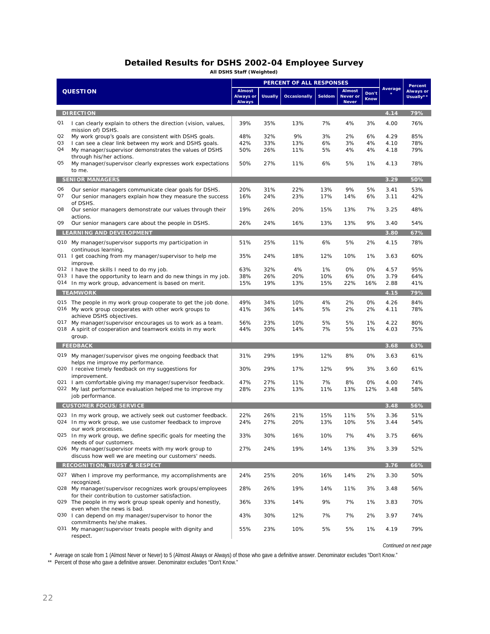## **Detailed Results for DSHS 2002-04 Employee Survey**

**All DSHS Staff (Weighted)**

|                |                                                                                                 | PERCENT OF ALL RESPONSES                    |                |                     |        |                                           |                      |         | Percent                |
|----------------|-------------------------------------------------------------------------------------------------|---------------------------------------------|----------------|---------------------|--------|-------------------------------------------|----------------------|---------|------------------------|
|                | <b>QUESTION</b>                                                                                 | <b>Almost</b><br>Always or<br><b>Always</b> | <b>Usually</b> | <b>Occasionally</b> | Seldom | <b>Almost</b><br>Never or<br><b>Never</b> | Don't<br><b>Know</b> | Average | Always or<br>Usually** |
|                | <b>DIRECTION</b>                                                                                |                                             |                |                     |        |                                           |                      | 4.14    | 79%                    |
| Q1             | I can clearly explain to others the direction (vision, values,<br>mission of) DSHS.             | 39%                                         | 35%            | 13%                 | 7%     | 4%                                        | 3%                   | 4.00    | 76%                    |
| Q <sub>2</sub> | My work group's goals are consistent with DSHS goals.                                           | 48%                                         | 32%            | 9%                  | 3%     | 2%                                        | 6%                   | 4.29    | 85%                    |
| Q3             | I can see a clear link between my work and DSHS goals.                                          | 42%                                         | 33%            | 13%                 | 6%     | 3%                                        | 4%                   | 4.10    | 78%                    |
| Q4             | My manager/supervisor demonstrates the values of DSHS                                           | 50%                                         | 26%            | 11%                 | 5%     | 4%                                        | 4%                   | 4.18    | 79%                    |
| Q5             | through his/her actions.<br>My manager/supervisor clearly expresses work expectations<br>to me. | 50%                                         | 27%            | 11%                 | 6%     | 5%                                        | 1%                   | 4.13    | 78%                    |
|                | <b>SENIOR MANAGERS</b>                                                                          |                                             |                |                     |        |                                           |                      | 3.29    | 50%                    |
| Q6             | Our senior managers communicate clear goals for DSHS.                                           | 20%                                         | 31%            | 22%                 | 13%    | 9%                                        | 5%                   | 3.41    | 53%                    |
| Q7             | Our senior managers explain how they measure the success                                        | 16%                                         | 24%            | 23%                 | 17%    | 14%                                       | 6%                   | 3.11    | 42%                    |
|                | of DSHS.                                                                                        |                                             |                |                     |        |                                           |                      |         |                        |
| Q8             | Our senior managers demonstrate our values through their<br>actions.                            | 19%                                         | 26%            | 20%                 | 15%    | 13%                                       | 7%                   | 3.25    | 48%                    |
| Q9             | Our senior managers care about the people in DSHS.                                              | 26%                                         | 24%            | 16%                 | 13%    | 13%                                       | 9%                   | 3.40    | 54%                    |
|                | LEARNING AND DEVELOPMENT                                                                        |                                             |                |                     |        |                                           |                      | 3.80    | 67%                    |
|                | Q10 My manager/supervisor supports my participation in                                          | 51%                                         | 25%            | 11%                 | 6%     | 5%                                        | 2%                   | 4.15    | 78%                    |
|                | continuous learning.                                                                            |                                             |                |                     |        |                                           |                      |         |                        |
|                | Q11 I get coaching from my manager/supervisor to help me                                        | 35%                                         | 24%            | 18%                 | 12%    | 10%                                       | 1%                   | 3.63    | 60%                    |
|                | improve.<br>Q12 I have the skills I need to do my job.                                          | 63%                                         | 32%            | 4%                  | 1%     | 0%                                        | 0%                   | 4.57    | 95%                    |
|                | Q13 I have the opportunity to learn and do new things in my job.                                | 38%                                         | 26%            | 20%                 | 10%    | 6%                                        | 0%                   | 3.79    | 64%                    |
| Q14            | In my work group, advancement is based on merit.                                                | 15%                                         | 19%            | 13%                 | 15%    | 22%                                       | 16%                  | 2.88    | 41%                    |
|                | <b>TEAMWORK</b>                                                                                 |                                             |                |                     |        |                                           |                      | 4.15    | 79%                    |
| Q15            | The people in my work group cooperate to get the job done.                                      | 49%                                         | 34%            | 10%                 | 4%     | 2%                                        | 0%                   | 4.26    | 84%                    |
|                | Q16 My work group cooperates with other work groups to                                          | 41%                                         | 36%            | 14%                 | 5%     | 2%                                        | 2%                   | 4.11    | 78%                    |
|                | achieve DSHS objectives.<br>Q17 My manager/supervisor encourages us to work as a team.          | 56%                                         | 23%            | 10%                 | 5%     | 5%                                        | 1%                   | 4.22    | 80%                    |
|                | Q18 A spirit of cooperation and teamwork exists in my work                                      | 44%                                         | 30%            | 14%                 | 7%     | 5%                                        | 1%                   | 4.03    | 75%                    |
|                | group.                                                                                          |                                             |                |                     |        |                                           |                      |         |                        |
|                | <b>FEEDBACK</b>                                                                                 |                                             |                |                     |        |                                           |                      | 3.68    | 63%                    |
|                | Q19 My manager/supervisor gives me ongoing feedback that                                        | 31%                                         | 29%            | 19%                 | 12%    | 8%                                        | 0%                   | 3.63    | 61%                    |
|                | helps me improve my performance.                                                                |                                             |                |                     |        |                                           |                      |         |                        |
|                | Q20 I receive timely feedback on my suggestions for                                             | 30%                                         | 29%            | 17%                 | 12%    | 9%                                        | 3%                   | 3.60    | 61%                    |
|                | improvement.<br>Q21 I am comfortable giving my manager/supervisor feedback.                     | 47%                                         | 27%            | 11%                 | 7%     | 8%                                        | 0%                   | 4.00    | 74%                    |
|                | Q22 My last performance evaluation helped me to improve my                                      | 28%                                         | 23%            | 13%                 | 11%    | 13%                                       | 12%                  | 3.48    | 58%                    |
|                | job performance.                                                                                |                                             |                |                     |        |                                           |                      |         |                        |
|                | <b>CUSTOMER FOCUS/SERVICE</b>                                                                   |                                             |                |                     |        |                                           |                      | 3.48    | 56%                    |
|                | Q23 In my work group, we actively seek out customer feedback.                                   | 22%                                         | 26%            | 21%                 | 15%    | 11%                                       | 5%                   | 3.36    | 51%                    |
| Q24            | In my work group, we use customer feedback to improve                                           | 24%                                         | 27%            | 20%                 | 13%    | 10%                                       | 5%                   | 3.44    | 54%                    |
|                | our work processes.<br>Q25 In my work group, we define specific goals for meeting the           | 33%                                         | 30%            | 16%                 | 10%    | 7%                                        | 4%                   | 3.75    | 66%                    |
|                | needs of our customers.                                                                         |                                             |                |                     |        |                                           |                      |         |                        |
|                | Q26 My manager/supervisor meets with my work group to                                           | 27%                                         | 24%            | 19%                 | 14%    | 13%                                       | 3%                   | 3.39    | 52%                    |
|                | discuss how well we are meeting our customers' needs.                                           |                                             |                |                     |        |                                           |                      |         |                        |
|                | <b>RECOGNITION, TRUST &amp; RESPECT</b>                                                         |                                             |                |                     |        |                                           |                      | 3.76    | 66%                    |
|                | Q27 When I improve my performance, my accomplishments are                                       | 24%                                         | 25%            | 20%                 | 16%    | 14%                                       | 2%                   | 3.30    | 50%                    |
|                | recognized.<br>Q28 My manager/supervisor recognizes work groups/employees                       | 28%                                         | 26%            | 19%                 | 14%    | 11%                                       | 3%                   | 3.48    | 56%                    |
|                | for their contribution to customer satisfaction.                                                |                                             |                |                     |        |                                           |                      |         |                        |
|                | Q29 The people in my work group speak openly and honestly,                                      | 36%                                         | 33%            | 14%                 | 9%     | 7%                                        | 1%                   | 3.83    | 70%                    |
|                | even when the news is bad.                                                                      |                                             |                |                     |        |                                           |                      |         | 74%                    |
|                | Q30   can depend on my manager/supervisor to honor the<br>commitments he/she makes.             | 43%                                         | 30%            | 12%                 | 7%     | 7%                                        | 2%                   | 3.97    |                        |
|                | Q31 My manager/supervisor treats people with dignity and                                        | 55%                                         | 23%            | 10%                 | 5%     | 5%                                        | 1%                   | 4.19    | 79%                    |
|                | respect.                                                                                        |                                             |                |                     |        |                                           |                      |         |                        |

*Continued on next page* 

\* Average on scale from 1 (Almost Never or Never) to 5 (Almost Always or Always) of those who gave a definitive answer. Denominator excludes "Don't Know."

\*\* Percent of those who gave a definitive answer. Denominator excludes "Don't Know."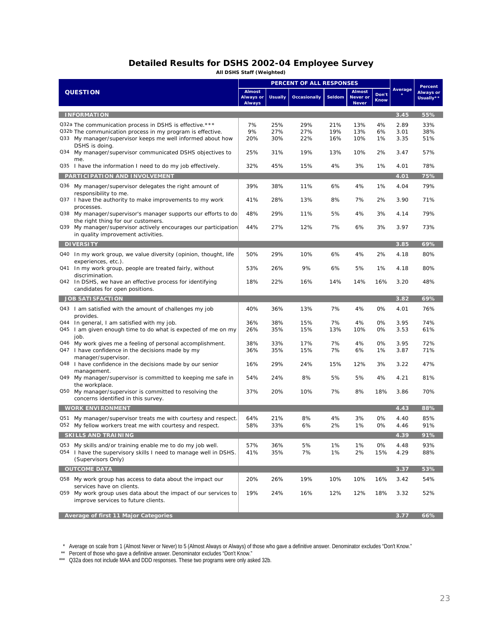# **Detailed Results for DSHS 2002-04 Employee Survey**

**All DSHS Staff (Weighted)**

|                                                                                                                                                                                                       |                                             |                   | PERCENT OF ALL RESPONSES |                   |                                           |                      |                      | Percent                       |
|-------------------------------------------------------------------------------------------------------------------------------------------------------------------------------------------------------|---------------------------------------------|-------------------|--------------------------|-------------------|-------------------------------------------|----------------------|----------------------|-------------------------------|
| <b>QUESTION</b>                                                                                                                                                                                       | <b>Almost</b><br>Always or<br><b>Always</b> | <b>Usually</b>    | <b>Occasionally</b>      | Seldom            | <b>Almost</b><br>Never or<br><b>Never</b> | Don't<br><b>Know</b> | Average              | <b>Always or</b><br>Usually** |
| <b>INFORMATION</b>                                                                                                                                                                                    |                                             |                   |                          |                   |                                           |                      | 3.45                 | 55%                           |
| Q32a The communication process in DSHS is effective.***<br>Q32b The communication process in my program is effective.<br>Q33 My manager/supervisor keeps me well informed about how<br>DSHS is doing. | 7%<br>9%<br>20%                             | 25%<br>27%<br>30% | 29%<br>27%<br>22%        | 21%<br>19%<br>16% | 13%<br>13%<br>10%                         | 4%<br>6%<br>1%       | 2.89<br>3.01<br>3.35 | 33%<br>38%<br>51%             |
| Q34 My manager/supervisor communicated DSHS objectives to<br>me.                                                                                                                                      | 25%                                         | 31%               | 19%                      | 13%               | 10%                                       | 2%                   | 3.47                 | 57%                           |
| Q35 I have the information I need to do my job effectively.                                                                                                                                           | 32%                                         | 45%               | 15%                      | 4%                | 3%                                        | 1%                   | 4.01                 | 78%                           |
| PARTICIPATION AND INVOLVEMENT                                                                                                                                                                         |                                             |                   |                          |                   |                                           |                      | 4.01                 | 75%                           |
| Q36 My manager/supervisor delegates the right amount of<br>responsibility to me.<br>Q37 I have the authority to make improvements to my work                                                          | 39%<br>41%                                  | 38%<br>28%        | 11%<br>13%               | 6%<br>8%          | 4%<br>7%                                  | 1%<br>2%             | 4.04<br>3.90         | 79%<br>71%                    |
| processes.<br>Q38 My manager/supervisor's manager supports our efforts to do                                                                                                                          | 48%                                         | 29%               | 11%                      | 5%                | 4%                                        | 3%                   | 4.14                 | 79%                           |
| the right thing for our customers.<br>Q39 My manager/supervisor actively encourages our participation<br>in quality improvement activities.                                                           | 44%                                         | 27%               | 12%                      | 7%                | 6%                                        | 3%                   | 3.97                 | 73%                           |
| <b>DIVERSITY</b>                                                                                                                                                                                      |                                             |                   |                          |                   |                                           |                      | 3.85                 | 69%                           |
| Q40 In my work group, we value diversity (opinion, thought, life<br>experiences, etc.).                                                                                                               | 50%                                         | 29%               | 10%                      | 6%                | 4%                                        | 2%                   | 4.18                 | 80%                           |
| Q41 In my work group, people are treated fairly, without<br>discrimination.                                                                                                                           | 53%                                         | 26%               | 9%                       | 6%                | 5%                                        | 1%                   | 4.18                 | 80%                           |
| Q42 In DSHS, we have an effective process for identifying<br>candidates for open positions.                                                                                                           | 18%                                         | 22%               | 16%                      | 14%               | 14%                                       | 16%                  | 3.20                 | 48%                           |
| <b>JOB SATISFACTION</b>                                                                                                                                                                               |                                             |                   |                          |                   |                                           |                      | 3.82                 | 69%                           |
| Q43   am satisfied with the amount of challenges my job<br>provides.                                                                                                                                  | 40%                                         | 36%               | 13%                      | 7%                | 4%                                        | 0%                   | 4.01                 | 76%                           |
| Q44 In general, I am satisfied with my job.<br>Q45 I am given enough time to do what is expected of me on my<br>job.                                                                                  | 36%<br>26%                                  | 38%<br>35%        | 15%<br>15%               | 7%<br>13%         | 4%<br>10%                                 | 0%<br>0%             | 3.95<br>3.53         | 74%<br>61%                    |
| Q46 My work gives me a feeling of personal accomplishment.<br>Q47 I have confidence in the decisions made by my                                                                                       | 38%<br>36%                                  | 33%<br>35%        | 17%<br>15%               | 7%<br>7%          | 4%<br>6%                                  | 0%<br>1%             | 3.95<br>3.87         | 72%<br>71%                    |
| manager/supervisor.<br>Q48   have confidence in the decisions made by our senior<br>management.                                                                                                       | 16%                                         | 29%               | 24%                      | 15%               | 12%                                       | 3%                   | 3.22                 | 47%                           |
| Q49 My manager/supervisor is committed to keeping me safe in<br>the workplace.                                                                                                                        | 54%                                         | 24%               | 8%                       | 5%                | 5%                                        | 4%                   | 4.21                 | 81%                           |
| Q50 My manager/supervisor is committed to resolving the<br>concerns identified in this survey.                                                                                                        | 37%                                         | 20%               | 10%                      | 7%                | 8%                                        | 18%                  | 3.86                 | 70%                           |
| <b>WORK ENVIRONMENT</b>                                                                                                                                                                               |                                             |                   |                          |                   |                                           |                      | 4.43                 | 88%                           |
| My manager/supervisor treats me with courtesy and respect.<br>Q51<br>Q52 My fellow workers treat me with courtesy and respect.                                                                        | 64%<br>58%                                  | 21%<br>33%        | 8%<br>6%                 | 4%<br>2%          | 3%<br>1%                                  | 0%<br>0%             | 4.40<br>4.46         | 85%<br>91%                    |
| SKIIIS AND TRAINING                                                                                                                                                                                   |                                             |                   |                          |                   |                                           |                      | 4.39                 | 91%                           |
| Q53 My skills and/or training enable me to do my job well.<br>Q54 I have the supervisory skills I need to manage well in DSHS.<br>(Supervisors Only)                                                  | 57%<br>41%                                  | 36%<br>35%        | 5%<br>7%                 | 1%<br>1%          | 1%<br>2%                                  | 0%<br>15%            | 4.48<br>4.29         | 93%<br>88%                    |
| <b>OUTCOME DATA</b>                                                                                                                                                                                   |                                             |                   |                          |                   |                                           |                      | 3.37                 | 53%                           |
| Q58 My work group has access to data about the impact our<br>services have on clients.                                                                                                                | 20%                                         | 26%               | 19%                      | 10%               | 10%                                       | 16%                  | 3.42                 | 54%                           |
| Q59 My work group uses data about the impact of our services to<br>improve services to future clients.                                                                                                | 19%                                         | 24%               | 16%                      | 12%               | 12%                                       | 18%                  | 3.32                 | 52%                           |
| Average of first 11 Major Categories                                                                                                                                                                  |                                             |                   |                          |                   |                                           |                      | 3.77                 | 66%                           |

\* Average on scale from 1 (Almost Never or Never) to 5 (Almost Always or Always) of those who gave a definitive answer. Denominator excludes "Don't Know."

\*\* Percent of those who gave a definitive answer. Denominator excludes "Don't Know."

\*\*\* Q32a does not include MAA and DDD responses. These two programs were only asked 32b.